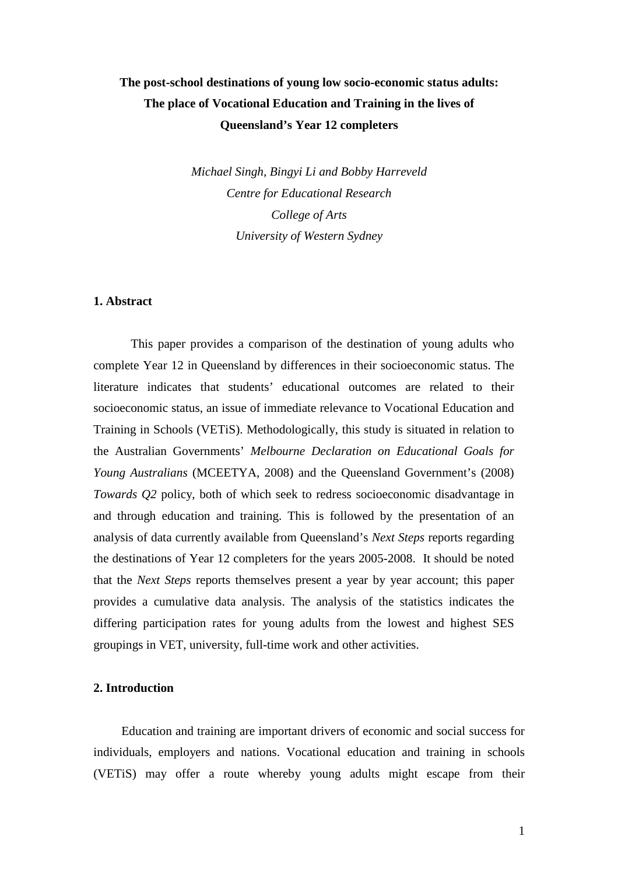# **The post-school destinations of young low socio-economic status adults: The place of Vocational Education and Training in the lives of Queensland's Year 12 completers**

*Michael Singh, Bingyi Li and Bobby Harreveld Centre for Educational Research College of Arts University of Western Sydney* 

## **1. Abstract**

This paper provides a comparison of the destination of young adults who complete Year 12 in Queensland by differences in their socioeconomic status. The literature indicates that students' educational outcomes are related to their socioeconomic status, an issue of immediate relevance to Vocational Education and Training in Schools (VETiS). Methodologically, this study is situated in relation to the Australian Governments' *Melbourne Declaration on Educational Goals for Young Australians* (MCEETYA, 2008) and the Queensland Government's (2008) *Towards Q2* policy, both of which seek to redress socioeconomic disadvantage in and through education and training. This is followed by the presentation of an analysis of data currently available from Queensland's *Next Steps* reports regarding the destinations of Year 12 completers for the years 2005-2008. It should be noted that the *Next Steps* reports themselves present a year by year account; this paper provides a cumulative data analysis. The analysis of the statistics indicates the differing participation rates for young adults from the lowest and highest SES groupings in VET, university, full-time work and other activities.

## **2. Introduction**

Education and training are important drivers of economic and social success for individuals, employers and nations. Vocational education and training in schools (VETiS) may offer a route whereby young adults might escape from their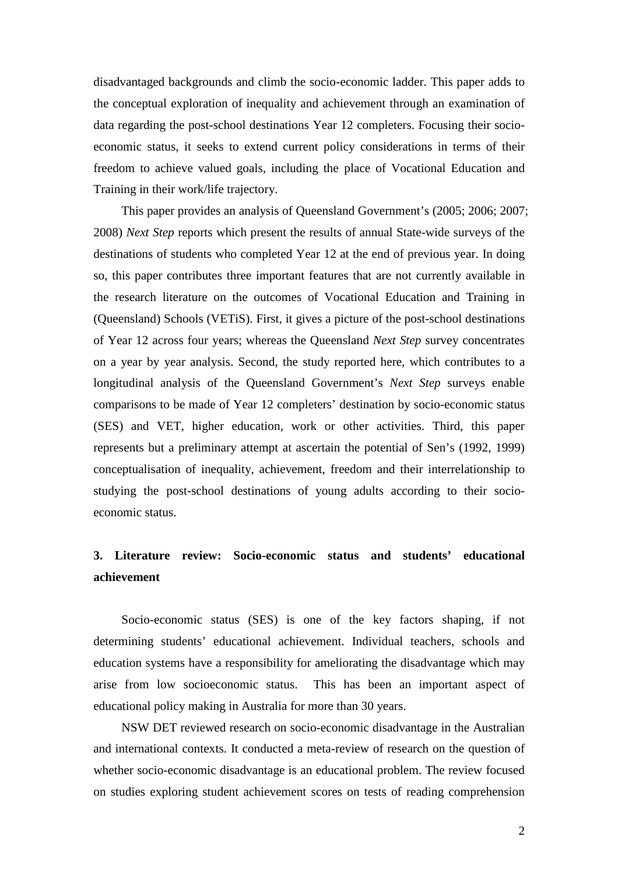disadvantaged backgrounds and climb the socio-economic ladder. This paper adds to the conceptual exploration of inequality and achievement through an examination of data regarding the post-school destinations Year 12 completers. Focusing their socioeconomic status, it seeks to extend current policy considerations in terms of their freedom to achieve valued goals, including the place of Vocational Education and Training in their work/life trajectory.

This paper provides an analysis of Queensland Government's (2005; 2006; 2007; 2008) *Next Step* reports which present the results of annual State-wide surveys of the destinations of students who completed Year 12 at the end of previous year. In doing so, this paper contributes three important features that are not currently available in the research literature on the outcomes of Vocational Education and Training in (Queensland) Schools (VETiS). First, it gives a picture of the post-school destinations of Year 12 across four years; whereas the Queensland *Next Step* survey concentrates on a year by year analysis. Second, the study reported here, which contributes to a longitudinal analysis of the Queensland Government's *Next Step* surveys enable comparisons to be made of Year 12 completers' destination by socio-economic status (SES) and VET, higher education, work or other activities. Third, this paper represents but a preliminary attempt at ascertain the potential of Sen's (1992, 1999) conceptualisation of inequality, achievement, freedom and their interrelationship to studying the post-school destinations of young adults according to their socioeconomic status.

# **3. Literature review: Socio-economic status and students' educational achievement**

Socio-economic status (SES) is one of the key factors shaping, if not determining students' educational achievement. Individual teachers, schools and education systems have a responsibility for ameliorating the disadvantage which may arise from low socioeconomic status. This has been an important aspect of educational policy making in Australia for more than 30 years.

NSW DET reviewed research on socio-economic disadvantage in the Australian and international contexts. It conducted a meta-review of research on the question of whether socio-economic disadvantage is an educational problem. The review focused on studies exploring student achievement scores on tests of reading comprehension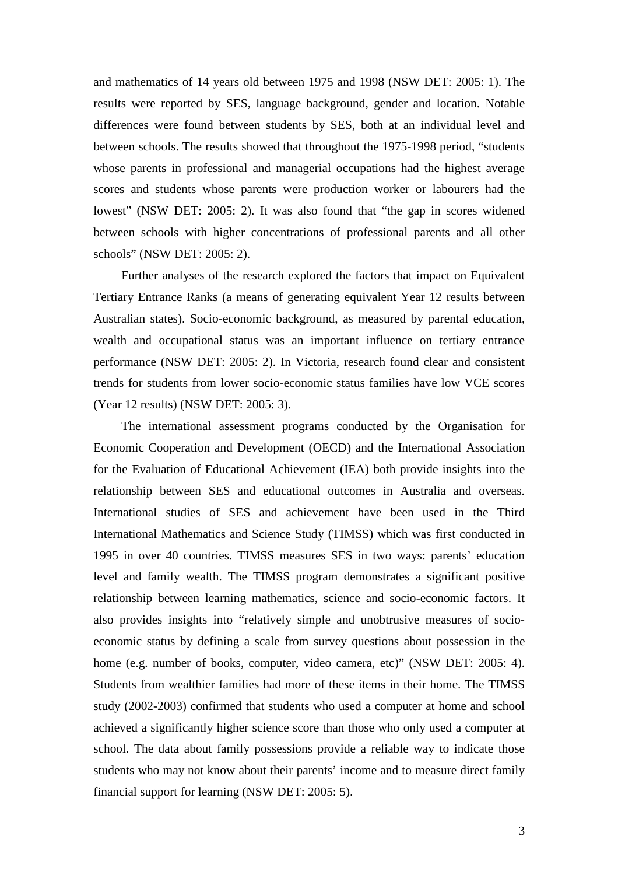and mathematics of 14 years old between 1975 and 1998 (NSW DET: 2005: 1). The results were reported by SES, language background, gender and location. Notable differences were found between students by SES, both at an individual level and between schools. The results showed that throughout the 1975-1998 period, "students whose parents in professional and managerial occupations had the highest average scores and students whose parents were production worker or labourers had the lowest" (NSW DET: 2005: 2). It was also found that "the gap in scores widened between schools with higher concentrations of professional parents and all other schools" (NSW DET: 2005: 2).

Further analyses of the research explored the factors that impact on Equivalent Tertiary Entrance Ranks (a means of generating equivalent Year 12 results between Australian states). Socio-economic background, as measured by parental education, wealth and occupational status was an important influence on tertiary entrance performance (NSW DET: 2005: 2). In Victoria, research found clear and consistent trends for students from lower socio-economic status families have low VCE scores (Year 12 results) (NSW DET: 2005: 3).

The international assessment programs conducted by the Organisation for Economic Cooperation and Development (OECD) and the International Association for the Evaluation of Educational Achievement (IEA) both provide insights into the relationship between SES and educational outcomes in Australia and overseas. International studies of SES and achievement have been used in the Third International Mathematics and Science Study (TIMSS) which was first conducted in 1995 in over 40 countries. TIMSS measures SES in two ways: parents' education level and family wealth. The TIMSS program demonstrates a significant positive relationship between learning mathematics, science and socio-economic factors. It also provides insights into "relatively simple and unobtrusive measures of socioeconomic status by defining a scale from survey questions about possession in the home (e.g. number of books, computer, video camera, etc)" (NSW DET: 2005: 4). Students from wealthier families had more of these items in their home. The TIMSS study (2002-2003) confirmed that students who used a computer at home and school achieved a significantly higher science score than those who only used a computer at school. The data about family possessions provide a reliable way to indicate those students who may not know about their parents' income and to measure direct family financial support for learning (NSW DET: 2005: 5).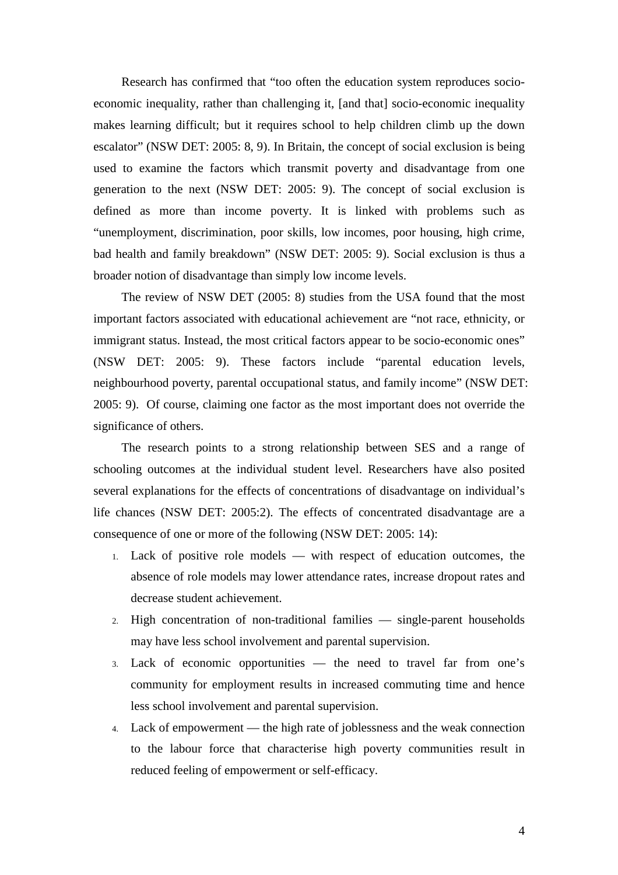Research has confirmed that "too often the education system reproduces socioeconomic inequality, rather than challenging it, [and that] socio-economic inequality makes learning difficult; but it requires school to help children climb up the down escalator" (NSW DET: 2005: 8, 9). In Britain, the concept of social exclusion is being used to examine the factors which transmit poverty and disadvantage from one generation to the next (NSW DET: 2005: 9). The concept of social exclusion is defined as more than income poverty. It is linked with problems such as "unemployment, discrimination, poor skills, low incomes, poor housing, high crime, bad health and family breakdown" (NSW DET: 2005: 9). Social exclusion is thus a broader notion of disadvantage than simply low income levels.

The review of NSW DET (2005: 8) studies from the USA found that the most important factors associated with educational achievement are "not race, ethnicity, or immigrant status. Instead, the most critical factors appear to be socio-economic ones" (NSW DET: 2005: 9). These factors include "parental education levels, neighbourhood poverty, parental occupational status, and family income" (NSW DET: 2005: 9). Of course, claiming one factor as the most important does not override the significance of others.

The research points to a strong relationship between SES and a range of schooling outcomes at the individual student level. Researchers have also posited several explanations for the effects of concentrations of disadvantage on individual's life chances (NSW DET: 2005:2). The effects of concentrated disadvantage are a consequence of one or more of the following (NSW DET: 2005: 14):

- 1. Lack of positive role models with respect of education outcomes, the absence of role models may lower attendance rates, increase dropout rates and decrease student achievement.
- 2. High concentration of non-traditional families single-parent households may have less school involvement and parental supervision.
- 3. Lack of economic opportunities the need to travel far from one's community for employment results in increased commuting time and hence less school involvement and parental supervision.
- 4. Lack of empowerment the high rate of joblessness and the weak connection to the labour force that characterise high poverty communities result in reduced feeling of empowerment or self-efficacy.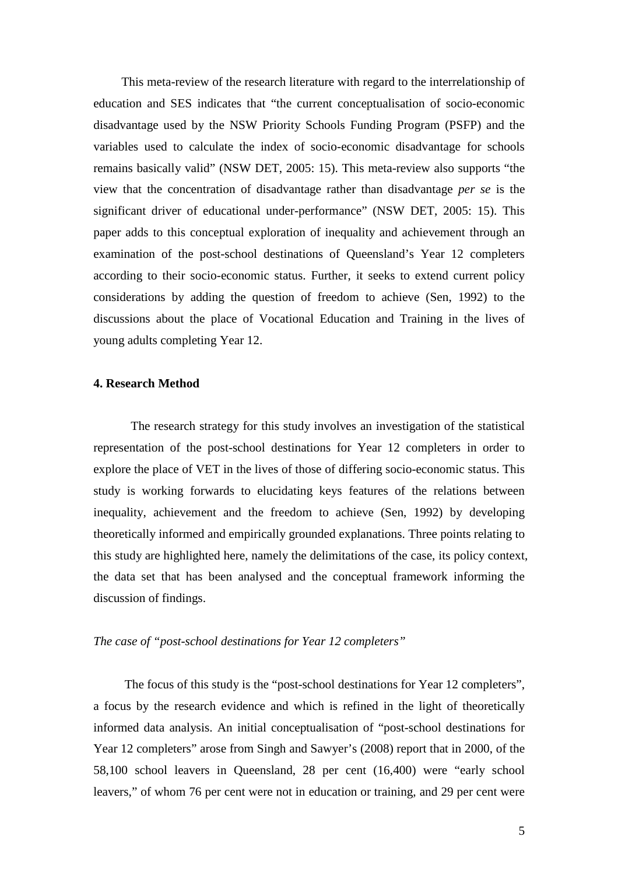This meta-review of the research literature with regard to the interrelationship of education and SES indicates that "the current conceptualisation of socio-economic disadvantage used by the NSW Priority Schools Funding Program (PSFP) and the variables used to calculate the index of socio-economic disadvantage for schools remains basically valid" (NSW DET, 2005: 15). This meta-review also supports "the view that the concentration of disadvantage rather than disadvantage *per se* is the significant driver of educational under-performance" (NSW DET, 2005: 15). This paper adds to this conceptual exploration of inequality and achievement through an examination of the post-school destinations of Queensland's Year 12 completers according to their socio-economic status. Further, it seeks to extend current policy considerations by adding the question of freedom to achieve (Sen, 1992) to the discussions about the place of Vocational Education and Training in the lives of young adults completing Year 12.

### **4. Research Method**

The research strategy for this study involves an investigation of the statistical representation of the post-school destinations for Year 12 completers in order to explore the place of VET in the lives of those of differing socio-economic status. This study is working forwards to elucidating keys features of the relations between inequality, achievement and the freedom to achieve (Sen, 1992) by developing theoretically informed and empirically grounded explanations. Three points relating to this study are highlighted here, namely the delimitations of the case, its policy context, the data set that has been analysed and the conceptual framework informing the discussion of findings.

#### *The case of "post-school destinations for Year 12 completers"*

The focus of this study is the "post-school destinations for Year 12 completers", a focus by the research evidence and which is refined in the light of theoretically informed data analysis. An initial conceptualisation of "post-school destinations for Year 12 completers" arose from Singh and Sawyer's (2008) report that in 2000, of the 58,100 school leavers in Queensland, 28 per cent (16,400) were "early school leavers," of whom 76 per cent were not in education or training, and 29 per cent were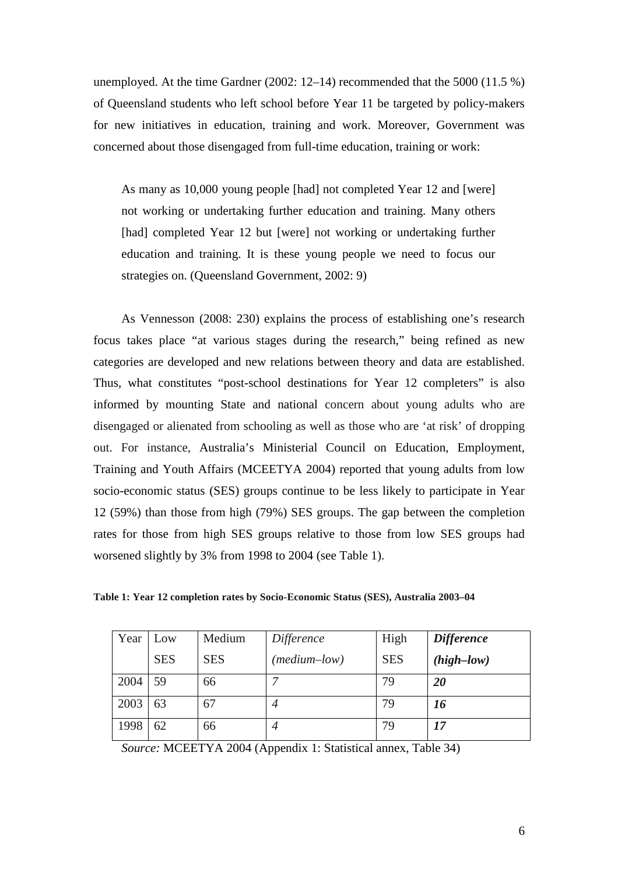unemployed. At the time Gardner (2002: 12–14) recommended that the 5000 (11.5 %) of Queensland students who left school before Year 11 be targeted by policy-makers for new initiatives in education, training and work. Moreover, Government was concerned about those disengaged from full-time education, training or work:

As many as 10,000 young people [had] not completed Year 12 and [were] not working or undertaking further education and training. Many others [had] completed Year 12 but [were] not working or undertaking further education and training. It is these young people we need to focus our strategies on. (Queensland Government, 2002: 9)

As Vennesson (2008: 230) explains the process of establishing one's research focus takes place "at various stages during the research," being refined as new categories are developed and new relations between theory and data are established. Thus, what constitutes "post-school destinations for Year 12 completers" is also informed by mounting State and national concern about young adults who are disengaged or alienated from schooling as well as those who are 'at risk' of dropping out. For instance, Australia's Ministerial Council on Education, Employment, Training and Youth Affairs (MCEETYA 2004) reported that young adults from low socio-economic status (SES) groups continue to be less likely to participate in Year 12 (59%) than those from high (79%) SES groups. The gap between the completion rates for those from high SES groups relative to those from low SES groups had worsened slightly by 3% from 1998 to 2004 (see Table 1).

| Year | Low        | Medium     | Difference   | High       | <b>Difference</b> |
|------|------------|------------|--------------|------------|-------------------|
|      | <b>SES</b> | <b>SES</b> | (medium–low) | <b>SES</b> | $(high-low)$      |
| 2004 | 59         | 66         |              | 79         | 20                |
| 2003 | 63         | 67         | 4            | 79         | 16                |
| 1998 | 62         | 66         | 4            | 79         | 17                |

**Table 1: Year 12 completion rates by Socio-Economic Status (SES), Australia 2003–04** 

*Source:* MCEETYA 2004 (Appendix 1: Statistical annex, Table 34)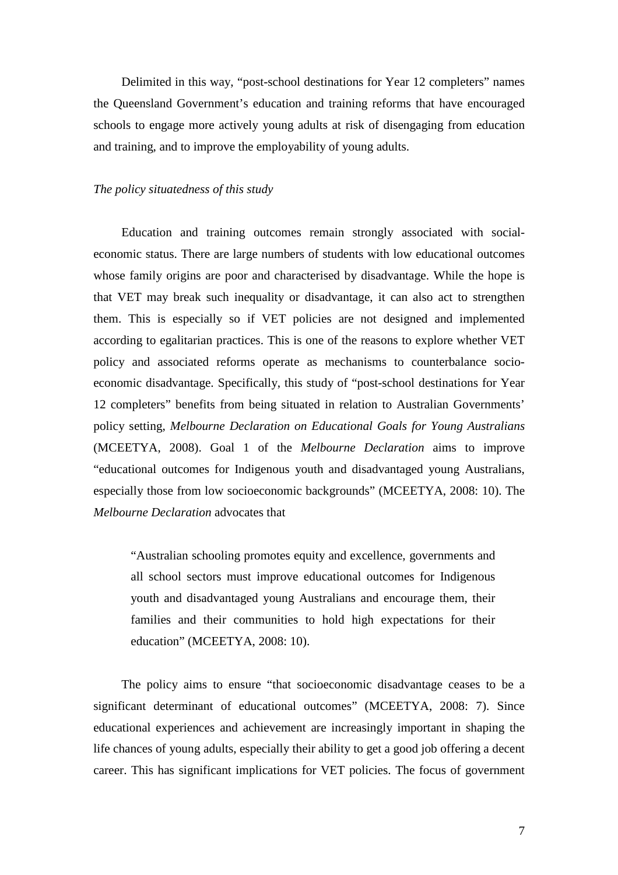Delimited in this way, "post-school destinations for Year 12 completers" names the Queensland Government's education and training reforms that have encouraged schools to engage more actively young adults at risk of disengaging from education and training, and to improve the employability of young adults.

#### *The policy situatedness of this study*

Education and training outcomes remain strongly associated with socialeconomic status. There are large numbers of students with low educational outcomes whose family origins are poor and characterised by disadvantage. While the hope is that VET may break such inequality or disadvantage, it can also act to strengthen them. This is especially so if VET policies are not designed and implemented according to egalitarian practices. This is one of the reasons to explore whether VET policy and associated reforms operate as mechanisms to counterbalance socioeconomic disadvantage. Specifically, this study of "post-school destinations for Year 12 completers" benefits from being situated in relation to Australian Governments' policy setting, *Melbourne Declaration on Educational Goals for Young Australians* (MCEETYA, 2008). Goal 1 of the *Melbourne Declaration* aims to improve "educational outcomes for Indigenous youth and disadvantaged young Australians, especially those from low socioeconomic backgrounds" (MCEETYA, 2008: 10). The *Melbourne Declaration* advocates that

"Australian schooling promotes equity and excellence, governments and all school sectors must improve educational outcomes for Indigenous youth and disadvantaged young Australians and encourage them, their families and their communities to hold high expectations for their education" (MCEETYA, 2008: 10).

The policy aims to ensure "that socioeconomic disadvantage ceases to be a significant determinant of educational outcomes" (MCEETYA, 2008: 7). Since educational experiences and achievement are increasingly important in shaping the life chances of young adults, especially their ability to get a good job offering a decent career. This has significant implications for VET policies. The focus of government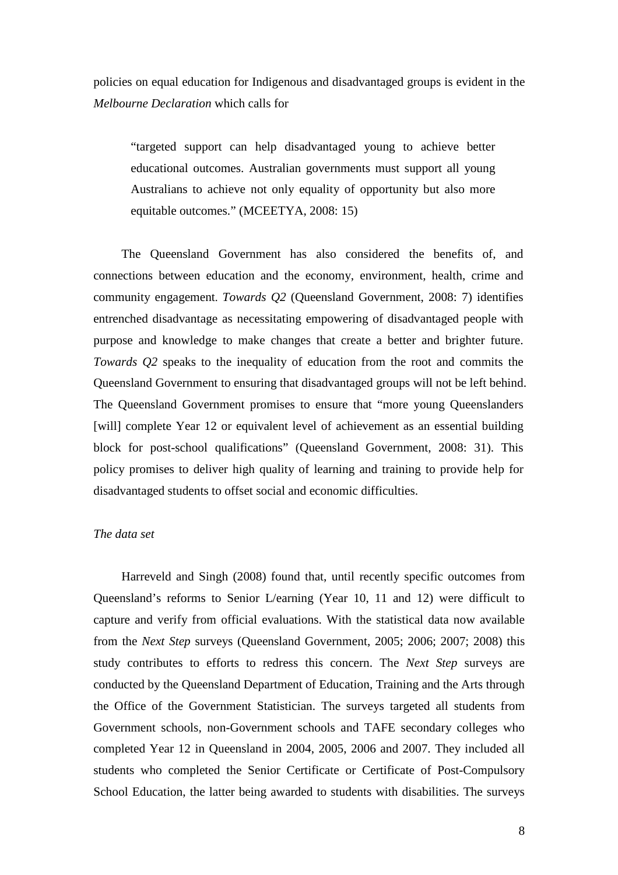policies on equal education for Indigenous and disadvantaged groups is evident in the *Melbourne Declaration* which calls for

"targeted support can help disadvantaged young to achieve better educational outcomes. Australian governments must support all young Australians to achieve not only equality of opportunity but also more equitable outcomes." (MCEETYA, 2008: 15)

The Queensland Government has also considered the benefits of, and connections between education and the economy, environment, health, crime and community engagement. *Towards Q2* (Queensland Government, 2008: 7) identifies entrenched disadvantage as necessitating empowering of disadvantaged people with purpose and knowledge to make changes that create a better and brighter future. *Towards Q2* speaks to the inequality of education from the root and commits the Queensland Government to ensuring that disadvantaged groups will not be left behind. The Queensland Government promises to ensure that "more young Queenslanders [will] complete Year 12 or equivalent level of achievement as an essential building block for post-school qualifications" (Queensland Government, 2008: 31). This policy promises to deliver high quality of learning and training to provide help for disadvantaged students to offset social and economic difficulties.

### *The data set*

Harreveld and Singh (2008) found that, until recently specific outcomes from Queensland's reforms to Senior L/earning (Year 10, 11 and 12) were difficult to capture and verify from official evaluations. With the statistical data now available from the *Next Step* surveys (Queensland Government, 2005; 2006; 2007; 2008) this study contributes to efforts to redress this concern. The *Next Step* surveys are conducted by the Queensland Department of Education, Training and the Arts through the Office of the Government Statistician. The surveys targeted all students from Government schools, non-Government schools and TAFE secondary colleges who completed Year 12 in Queensland in 2004, 2005, 2006 and 2007. They included all students who completed the Senior Certificate or Certificate of Post-Compulsory School Education, the latter being awarded to students with disabilities. The surveys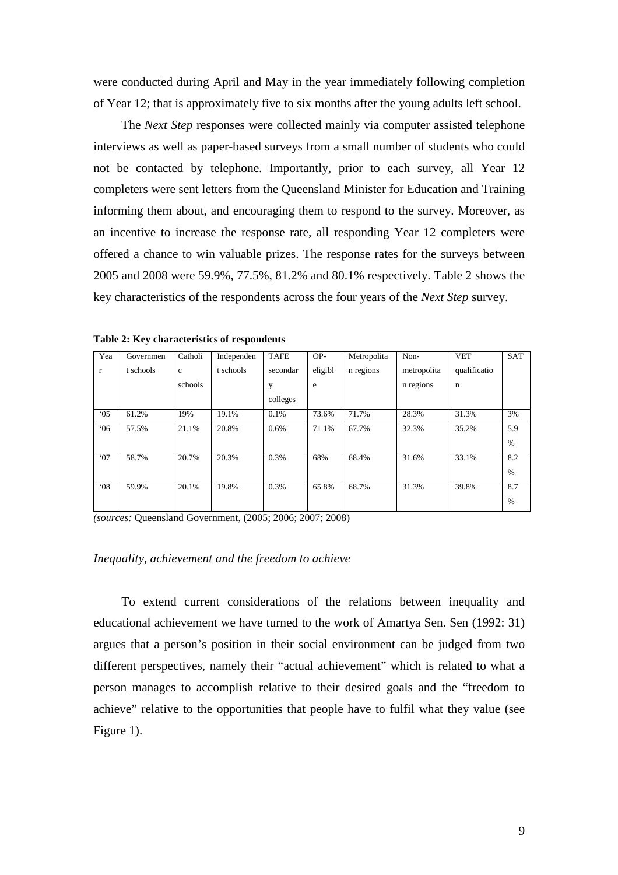were conducted during April and May in the year immediately following completion of Year 12; that is approximately five to six months after the young adults left school.

The *Next Step* responses were collected mainly via computer assisted telephone interviews as well as paper-based surveys from a small number of students who could not be contacted by telephone. Importantly, prior to each survey, all Year 12 completers were sent letters from the Queensland Minister for Education and Training informing them about, and encouraging them to respond to the survey. Moreover, as an incentive to increase the response rate, all responding Year 12 completers were offered a chance to win valuable prizes. The response rates for the surveys between 2005 and 2008 were 59.9%, 77.5%, 81.2% and 80.1% respectively. Table 2 shows the key characteristics of the respondents across the four years of the *Next Step* survey.

| Yea          | Governmen | Catholi     | Independen | <b>TAFE</b> | OP-     | Metropolita | Non-        | <b>VET</b>   | <b>SAT</b> |
|--------------|-----------|-------------|------------|-------------|---------|-------------|-------------|--------------|------------|
| $\mathbf{r}$ | t schools | $\mathbf c$ | t schools  | secondar    | eligibl | n regions   | metropolita | qualificatio |            |
|              |           | schools     |            | у           | e       |             | n regions   | $\mathbf n$  |            |
|              |           |             |            | colleges    |         |             |             |              |            |
| $^{\circ}05$ | 61.2%     | 19%         | 19.1%      | 0.1%        | 73.6%   | 71.7%       | 28.3%       | 31.3%        | 3%         |
| 06'          | 57.5%     | 21.1%       | 20.8%      | 0.6%        | 71.1%   | 67.7%       | 32.3%       | 35.2%        | 5.9        |
|              |           |             |            |             |         |             |             |              | $\%$       |
| 07           | 58.7%     | 20.7%       | 20.3%      | 0.3%        | 68%     | 68.4%       | 31.6%       | 33.1%        | 8.2        |
|              |           |             |            |             |         |             |             |              | $\%$       |
| $08^{\circ}$ | 59.9%     | 20.1%       | 19.8%      | 0.3%        | 65.8%   | 68.7%       | 31.3%       | 39.8%        | 8.7        |
|              |           |             |            |             |         |             |             |              | $\%$       |

**Table 2: Key characteristics of respondents** 

*(sources:* Queensland Government, (2005; 2006; 2007; 2008)

#### *Inequality, achievement and the freedom to achieve*

To extend current considerations of the relations between inequality and educational achievement we have turned to the work of Amartya Sen. Sen (1992: 31) argues that a person's position in their social environment can be judged from two different perspectives, namely their "actual achievement" which is related to what a person manages to accomplish relative to their desired goals and the "freedom to achieve" relative to the opportunities that people have to fulfil what they value (see Figure 1).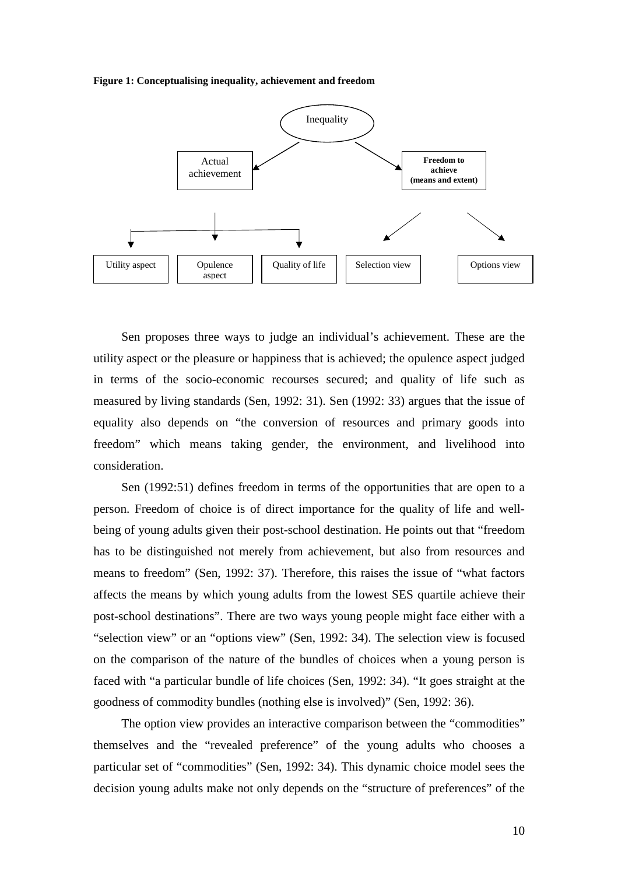**Figure 1: Conceptualising inequality, achievement and freedom** 



Sen proposes three ways to judge an individual's achievement. These are the utility aspect or the pleasure or happiness that is achieved; the opulence aspect judged in terms of the socio-economic recourses secured; and quality of life such as measured by living standards (Sen, 1992: 31). Sen (1992: 33) argues that the issue of equality also depends on "the conversion of resources and primary goods into freedom" which means taking gender, the environment, and livelihood into consideration.

Sen (1992:51) defines freedom in terms of the opportunities that are open to a person. Freedom of choice is of direct importance for the quality of life and wellbeing of young adults given their post-school destination. He points out that "freedom has to be distinguished not merely from achievement, but also from resources and means to freedom" (Sen, 1992: 37). Therefore, this raises the issue of "what factors affects the means by which young adults from the lowest SES quartile achieve their post-school destinations". There are two ways young people might face either with a "selection view" or an "options view" (Sen, 1992: 34). The selection view is focused on the comparison of the nature of the bundles of choices when a young person is faced with "a particular bundle of life choices (Sen, 1992: 34). "It goes straight at the goodness of commodity bundles (nothing else is involved)" (Sen, 1992: 36).

The option view provides an interactive comparison between the "commodities" themselves and the "revealed preference" of the young adults who chooses a particular set of "commodities" (Sen, 1992: 34). This dynamic choice model sees the decision young adults make not only depends on the "structure of preferences" of the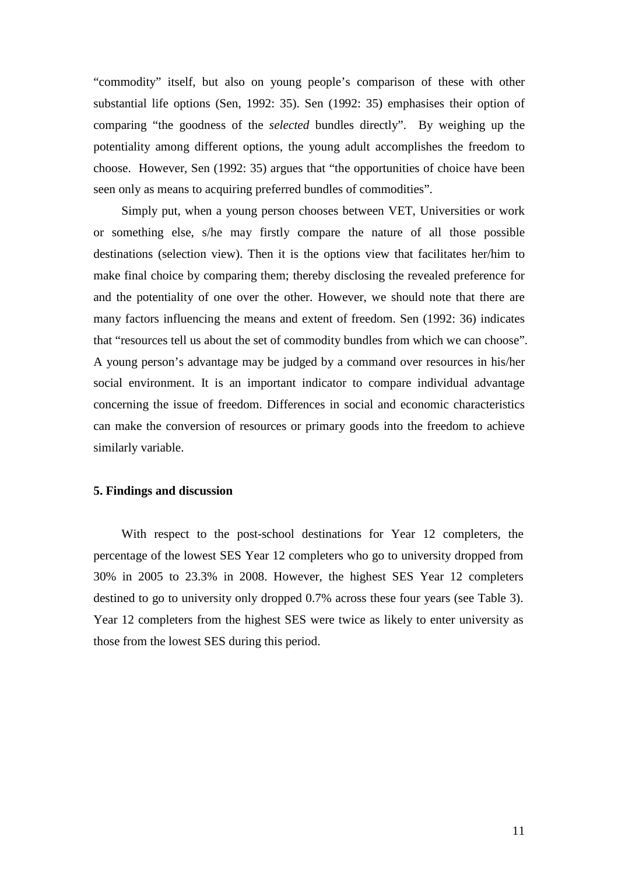"commodity" itself, but also on young people's comparison of these with other substantial life options (Sen, 1992: 35). Sen (1992: 35) emphasises their option of comparing "the goodness of the *selected* bundles directly". By weighing up the potentiality among different options, the young adult accomplishes the freedom to choose. However, Sen (1992: 35) argues that "the opportunities of choice have been seen only as means to acquiring preferred bundles of commodities".

Simply put, when a young person chooses between VET, Universities or work or something else, s/he may firstly compare the nature of all those possible destinations (selection view). Then it is the options view that facilitates her/him to make final choice by comparing them; thereby disclosing the revealed preference for and the potentiality of one over the other. However, we should note that there are many factors influencing the means and extent of freedom. Sen (1992: 36) indicates that "resources tell us about the set of commodity bundles from which we can choose". A young person's advantage may be judged by a command over resources in his/her social environment. It is an important indicator to compare individual advantage concerning the issue of freedom. Differences in social and economic characteristics can make the conversion of resources or primary goods into the freedom to achieve similarly variable.

#### **5. Findings and discussion**

With respect to the post-school destinations for Year 12 completers, the percentage of the lowest SES Year 12 completers who go to university dropped from 30% in 2005 to 23.3% in 2008. However, the highest SES Year 12 completers destined to go to university only dropped 0.7% across these four years (see Table 3). Year 12 completers from the highest SES were twice as likely to enter university as those from the lowest SES during this period.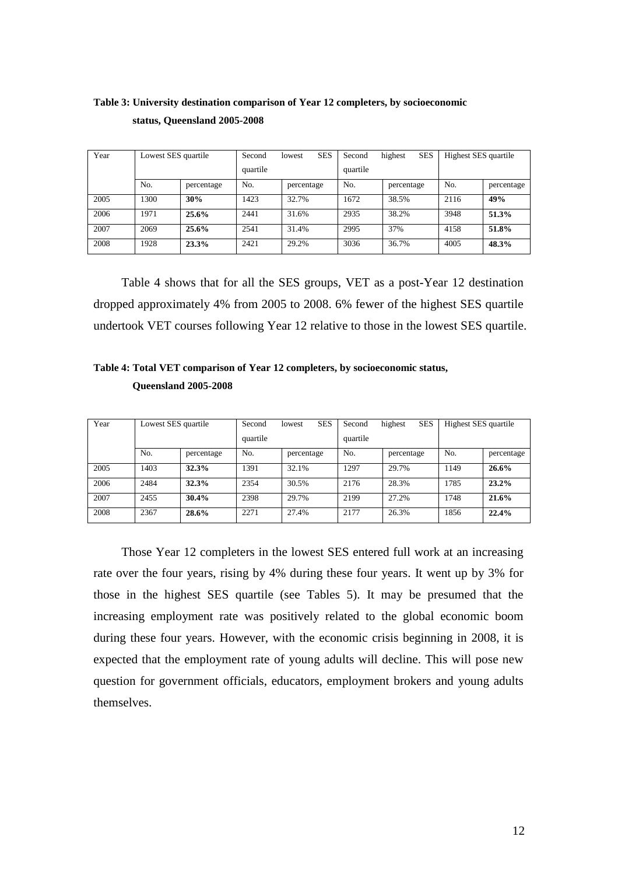# **Table 3: University destination comparison of Year 12 completers, by socioeconomic status, Queensland 2005-2008**

| Year | Lowest SES quartile |            | Second   | <b>SES</b><br>lowest | Second   | <b>SES</b><br>highest | Highest SES quartile |            |
|------|---------------------|------------|----------|----------------------|----------|-----------------------|----------------------|------------|
|      |                     |            | quartile |                      | quartile |                       |                      |            |
|      | No.                 | percentage | No.      | percentage           | No.      | percentage            | No.                  | percentage |
| 2005 | 1300                | 30%        | 1423     | 32.7%                | 1672     | 38.5%                 | 2116                 | 49%        |
| 2006 | 1971                | 25.6%      | 2441     | 31.6%                | 2935     | 38.2%                 | 3948                 | 51.3%      |
| 2007 | 2069                | 25.6%      | 2541     | 31.4%                | 2995     | 37%                   | 4158                 | 51.8%      |
| 2008 | 1928                | 23.3%      | 2421     | 29.2%                | 3036     | 36.7%                 | 4005                 | 48.3%      |

Table 4 shows that for all the SES groups, VET as a post-Year 12 destination dropped approximately 4% from 2005 to 2008. 6% fewer of the highest SES quartile undertook VET courses following Year 12 relative to those in the lowest SES quartile.

**Table 4: Total VET comparison of Year 12 completers, by socioeconomic status, Queensland 2005-2008** 

| Year | Lowest SES quartile |            | Second   | <b>SES</b><br>lowest | Second   | <b>SES</b><br>highest | Highest SES quartile |            |
|------|---------------------|------------|----------|----------------------|----------|-----------------------|----------------------|------------|
|      |                     |            | quartile |                      | quartile |                       |                      |            |
|      | No.                 | percentage | No.      | percentage           | No.      | percentage            | No.                  | percentage |
| 2005 | 1403                | 32.3%      | 391      | 32.1%                | 1297     | 29.7%                 | 1149                 | $26.6\%$   |
| 2006 | 2484                | 32.3%      | 2354     | 30.5%                | 2176     | 28.3%                 | 1785                 | 23.2%      |
| 2007 | 2455                | 30.4%      | 2398     | 29.7%                | 2199     | 27.2%                 | 1748                 | 21.6%      |
| 2008 | 2367                | 28.6%      | 2271     | 27.4%                | 2177     | 26.3%                 | 1856                 | 22.4%      |

Those Year 12 completers in the lowest SES entered full work at an increasing rate over the four years, rising by 4% during these four years. It went up by 3% for those in the highest SES quartile (see Tables 5). It may be presumed that the increasing employment rate was positively related to the global economic boom during these four years. However, with the economic crisis beginning in 2008, it is expected that the employment rate of young adults will decline. This will pose new question for government officials, educators, employment brokers and young adults themselves.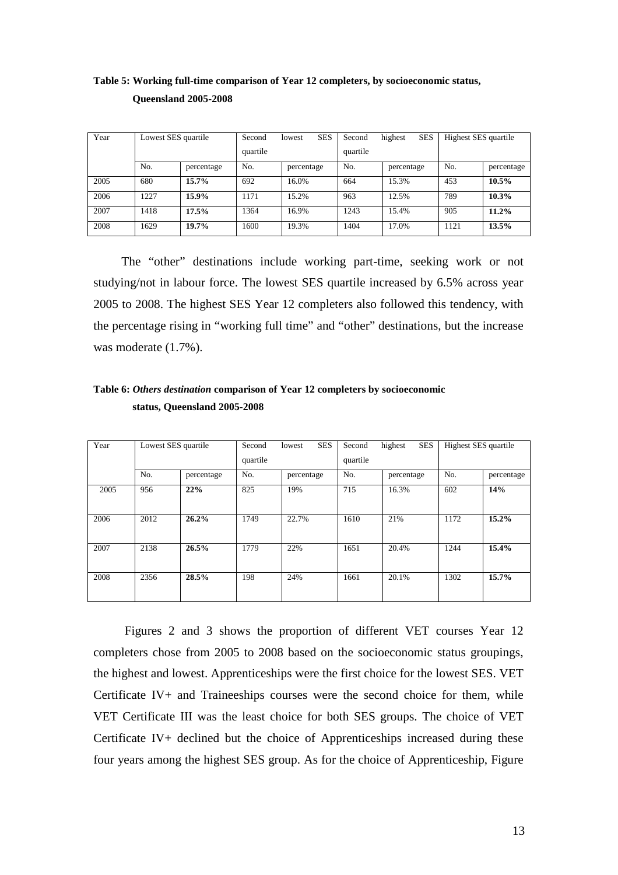| Year | Lowest SES quartile |            | Second   | <b>SES</b><br>lowest | Second   | <b>SES</b><br>highest | Highest SES quartile |            |
|------|---------------------|------------|----------|----------------------|----------|-----------------------|----------------------|------------|
|      |                     |            | quartile |                      | quartile |                       |                      |            |
|      | No.                 | percentage | No.      | percentage           | No.      | percentage            | No.                  | percentage |
| 2005 | 680                 | 15.7%      | 692      | 16.0%                | 664      | 15.3%                 | 453                  | $10.5\%$   |
| 2006 | 1227                | 15.9%      | 1171     | 15.2%                | 963      | 12.5%                 | 789                  | 10.3%      |
| 2007 | 1418                | 17.5%      | 1364     | 16.9%                | 1243     | 15.4%                 | 905                  | 11.2%      |
| 2008 | 1629                | 19.7%      | 1600     | 19.3%                | 1404     | 17.0%                 | 1121                 | 13.5%      |

# **Table 5: Working full-time comparison of Year 12 completers, by socioeconomic status, Queensland 2005-2008**

The "other" destinations include working part-time, seeking work or not studying/not in labour force. The lowest SES quartile increased by 6.5% across year 2005 to 2008. The highest SES Year 12 completers also followed this tendency, with the percentage rising in "working full time" and "other" destinations, but the increase was moderate (1.7%).

| Table 6: Others destination comparison of Year 12 completers by socioeconomic |  |
|-------------------------------------------------------------------------------|--|
| status, Queensland 2005-2008                                                  |  |

| Year | Lowest SES quartile |            | Second | <b>SES</b><br>lowest | Second<br>quartile | highest<br><b>SES</b> | Highest SES quartile |            |
|------|---------------------|------------|--------|----------------------|--------------------|-----------------------|----------------------|------------|
|      |                     |            |        | quartile             |                    |                       |                      |            |
|      | No.                 | percentage | No.    | percentage           | No.                | percentage            | No.                  | percentage |
| 2005 | 956                 | 22%        | 825    | 19%                  | 715                | 16.3%                 | 602                  | 14%        |
| 2006 | 2012                | 26.2%      | 1749   | 22.7%                | 1610               | 21%                   | 1172                 | 15.2%      |
| 2007 | 2138                | 26.5%      | 1779   | 22%                  | 1651               | 20.4%                 | 1244                 | 15.4%      |
| 2008 | 2356                | 28.5%      | 198    | 24%                  | 1661               | 20.1%                 | 1302                 | 15.7%      |

 Figures 2 and 3 shows the proportion of different VET courses Year 12 completers chose from 2005 to 2008 based on the socioeconomic status groupings, the highest and lowest. Apprenticeships were the first choice for the lowest SES. VET Certificate IV+ and Traineeships courses were the second choice for them, while VET Certificate III was the least choice for both SES groups. The choice of VET Certificate IV+ declined but the choice of Apprenticeships increased during these four years among the highest SES group. As for the choice of Apprenticeship, Figure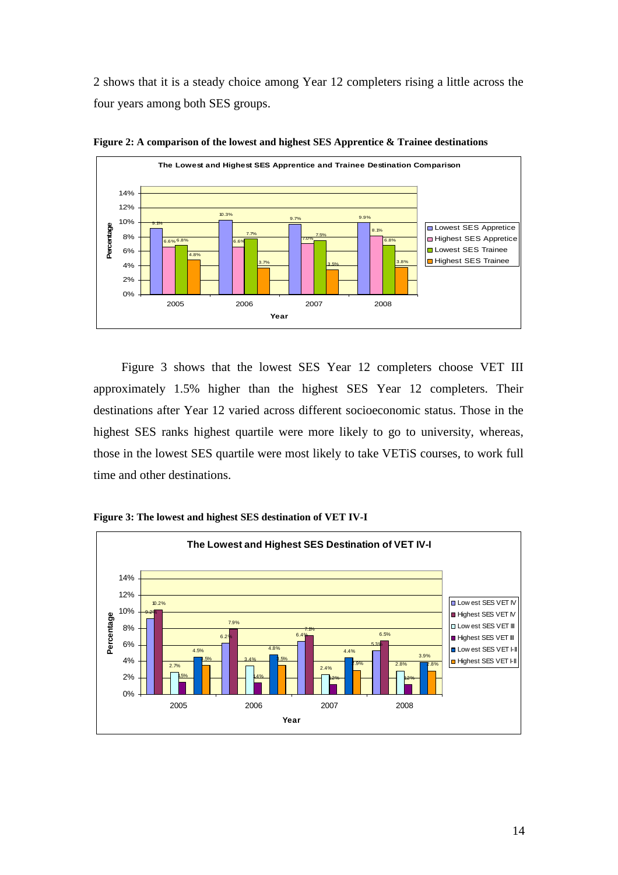2 shows that it is a steady choice among Year 12 completers rising a little across the four years among both SES groups.



**Figure 2: A comparison of the lowest and highest SES Apprentice & Trainee destinations** 

Figure 3 shows that the lowest SES Year 12 completers choose VET III approximately 1.5% higher than the highest SES Year 12 completers. Their destinations after Year 12 varied across different socioeconomic status. Those in the highest SES ranks highest quartile were more likely to go to university, whereas, those in the lowest SES quartile were most likely to take VETiS courses, to work full time and other destinations.



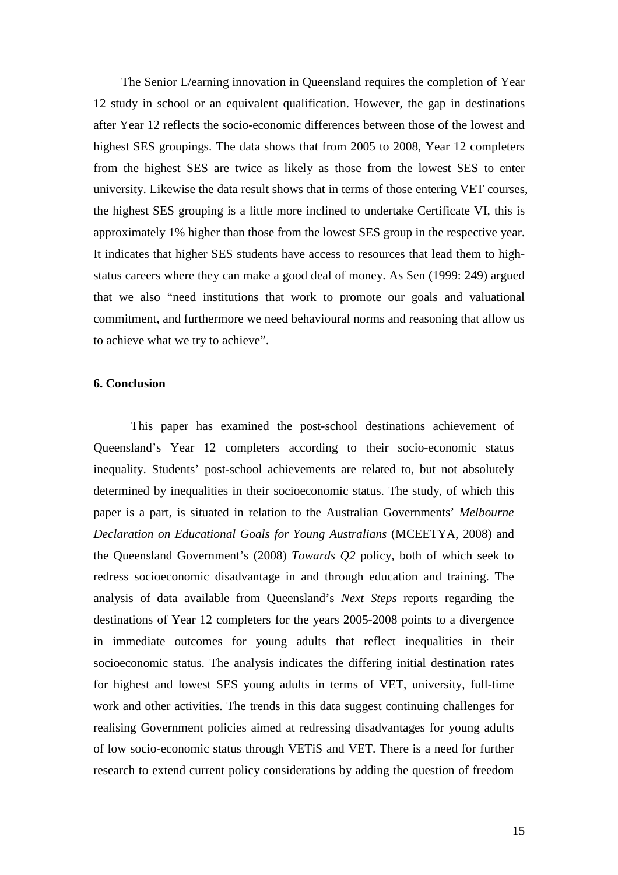The Senior L/earning innovation in Queensland requires the completion of Year 12 study in school or an equivalent qualification. However, the gap in destinations after Year 12 reflects the socio-economic differences between those of the lowest and highest SES groupings. The data shows that from 2005 to 2008, Year 12 completers from the highest SES are twice as likely as those from the lowest SES to enter university. Likewise the data result shows that in terms of those entering VET courses, the highest SES grouping is a little more inclined to undertake Certificate VI, this is approximately 1% higher than those from the lowest SES group in the respective year. It indicates that higher SES students have access to resources that lead them to highstatus careers where they can make a good deal of money. As Sen (1999: 249) argued that we also "need institutions that work to promote our goals and valuational commitment, and furthermore we need behavioural norms and reasoning that allow us to achieve what we try to achieve".

## **6. Conclusion**

This paper has examined the post-school destinations achievement of Queensland's Year 12 completers according to their socio-economic status inequality. Students' post-school achievements are related to, but not absolutely determined by inequalities in their socioeconomic status. The study, of which this paper is a part, is situated in relation to the Australian Governments' *Melbourne Declaration on Educational Goals for Young Australians* (MCEETYA, 2008) and the Queensland Government's (2008) *Towards Q2* policy, both of which seek to redress socioeconomic disadvantage in and through education and training. The analysis of data available from Queensland's *Next Steps* reports regarding the destinations of Year 12 completers for the years 2005-2008 points to a divergence in immediate outcomes for young adults that reflect inequalities in their socioeconomic status. The analysis indicates the differing initial destination rates for highest and lowest SES young adults in terms of VET, university, full-time work and other activities. The trends in this data suggest continuing challenges for realising Government policies aimed at redressing disadvantages for young adults of low socio-economic status through VETiS and VET. There is a need for further research to extend current policy considerations by adding the question of freedom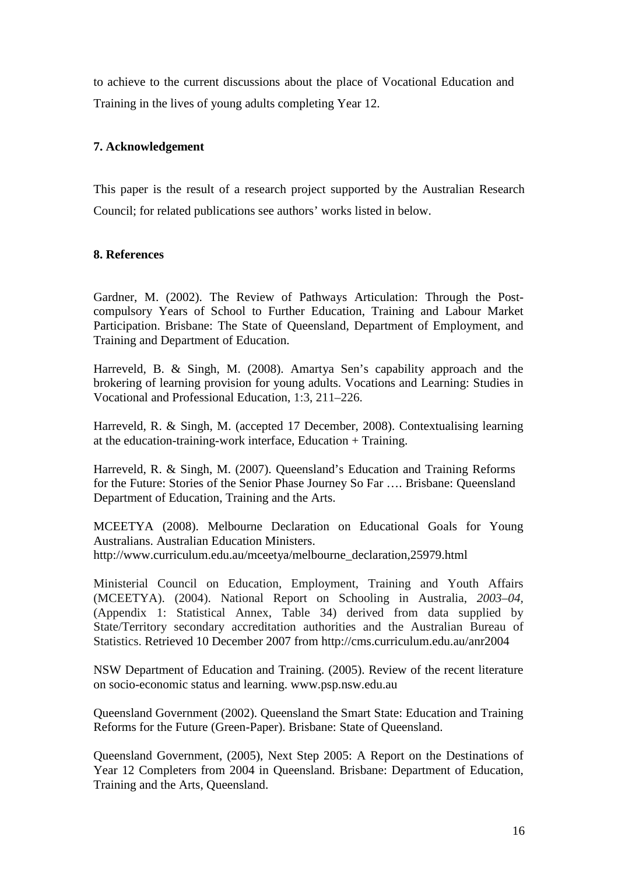to achieve to the current discussions about the place of Vocational Education and Training in the lives of young adults completing Year 12.

# **7. Acknowledgement**

This paper is the result of a research project supported by the Australian Research Council; for related publications see authors' works listed in below.

## **8. References**

Gardner, M. (2002). The Review of Pathways Articulation: Through the Postcompulsory Years of School to Further Education, Training and Labour Market Participation. Brisbane: The State of Queensland, Department of Employment, and Training and Department of Education.

Harreveld, B. & Singh, M. (2008). Amartya Sen's capability approach and the brokering of learning provision for young adults. Vocations and Learning: Studies in Vocational and Professional Education, 1:3, 211–226.

Harreveld, R. & Singh, M. (accepted 17 December, 2008). Contextualising learning at the education-training-work interface, Education + Training.

Harreveld, R. & Singh, M. (2007). Queensland's Education and Training Reforms for the Future: Stories of the Senior Phase Journey So Far …. Brisbane: Queensland Department of Education, Training and the Arts.

MCEETYA (2008). Melbourne Declaration on Educational Goals for Young Australians. Australian Education Ministers. http://www.curriculum.edu.au/mceetya/melbourne\_declaration,25979.html

Ministerial Council on Education, Employment, Training and Youth Affairs (MCEETYA). (2004). National Report on Schooling in Australia, *2003–04,* (Appendix 1: Statistical Annex, Table 34) derived from data supplied by State/Territory secondary accreditation authorities and the Australian Bureau of Statistics. Retrieved 10 December 2007 from http://cms.curriculum.edu.au/anr2004

NSW Department of Education and Training. (2005). Review of the recent literature on socio-economic status and learning. www.psp.nsw.edu.au

Queensland Government (2002). Queensland the Smart State: Education and Training Reforms for the Future (Green-Paper). Brisbane: State of Queensland.

Queensland Government, (2005), Next Step 2005: A Report on the Destinations of Year 12 Completers from 2004 in Queensland. Brisbane: Department of Education, Training and the Arts, Queensland.